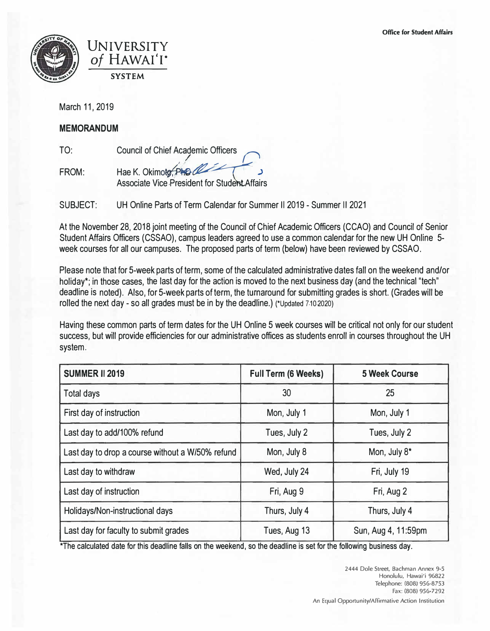



March 11, 2019

## **MEMORANDUM**

TO:

Council of Chief Ac�emic Officers *O*

FROM: Hae K. Okimoto, PhD Associate Vice President for Student Affairs

SUBJECT: UH Online Parts of Term Calendar for Summer 112019 - Summer II 2021

At the November 28, 2018 joint meeting of the Council of Chief Academic Officers (CCAO) and Council of Senior Student Affairs Officers (CSSAO), campus leaders agreed to use a common calendar for the new UH Online 5 week courses for all our campuses. The proposed parts of term (below) have been reviewed by CSSAO.

Please note that for 5-week parts of term, some of the calculated administrative dates fall on the weekend and/or holiday\*; in those cases, the last day for the action is moved to the next business day (and the technical "tech" deadline is noted). Also, for 5-week parts of term, the turnaround for submitting grades is short. (Grades will be rolled the next day - so all grades must be in by the deadline.) (\*Updated 7-10-2020)

Having these common parts of term dates for the UH Online 5 week courses will be critical not only for our student success, but will provide efficiencies for our administrative offices as students enroll in courses throughout the UH system.

| <b>SUMMER II 2019</b>                            | <b>Full Term (6 Weeks)</b> | <b>5 Week Course</b> |
|--------------------------------------------------|----------------------------|----------------------|
| <b>Total days</b>                                | 30                         | 25                   |
| First day of instruction                         | Mon, July 1                | Mon, July 1          |
| Last day to add/100% refund                      | Tues, July 2               | Tues, July 2         |
| Last day to drop a course without a W/50% refund | Mon, July 8                | Mon, July 8*         |
| Last day to withdraw                             | Wed, July 24               | Fri, July 19         |
| Last day of instruction                          | Fri, Aug 9                 | Fri, Aug 2           |
| Holidays/Non-instructional days                  | Thurs, July 4              | Thurs, July 4        |
| Last day for faculty to submit grades            | Tues, Aug 13               | Sun, Aug 4, 11:59pm  |

\*The calculated date for this deadline falls on the weekend, so the deadline is set for the following business day.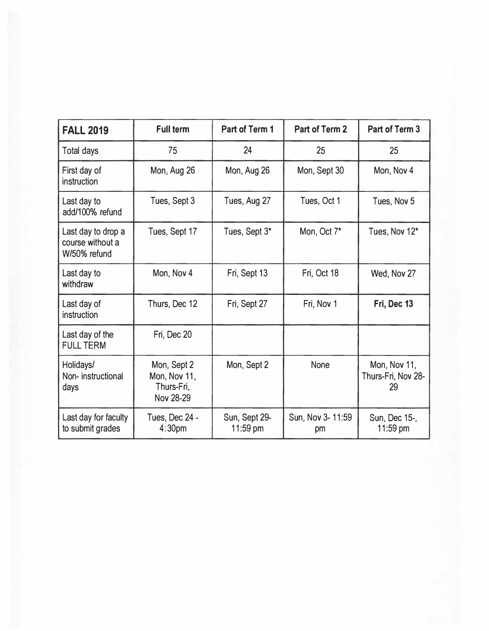| <b>FALL 2019</b>                                       | <b>Full term</b>                                       | Part of Term 1            | Part of Term 2          | Part of Term 3                           |
|--------------------------------------------------------|--------------------------------------------------------|---------------------------|-------------------------|------------------------------------------|
| Total days                                             | 75                                                     | 24                        | 25                      | 25                                       |
| First day of<br>instruction                            | Mon, Aug 26                                            | Mon, Aug 26               | Mon, Sept 30            | Mon, Nov 4                               |
| Last day to<br>add/100% refund                         | Tues, Sept 3                                           | Tues, Aug 27              | Tues, Oct 1             | Tues, Nov 5                              |
| Last day to drop a<br>course without a<br>W/50% refund | Tues, Sept 17                                          | Tues, Sept 3*             | Mon, Oct 7*             | Tues, Nov 12*                            |
| Last day to<br>withdraw                                | Mon, Nov 4                                             | Fri, Sept 13              | Fri, Oct 18             | Wed, Nov 27                              |
| Last day of<br>instruction                             | Thurs, Dec 12                                          | Fri, Sept 27              | Fri, Nov 1              | Fri, Dec 13                              |
| Last day of the<br><b>FULL TERM</b>                    | Fri, Dec 20                                            |                           |                         |                                          |
| Holidays/<br>Non-instructional<br>days                 | Mon, Sept 2<br>Mon, Nov 11,<br>Thurs-Fri,<br>Nov 28-29 | Mon, Sept 2               | None                    | Mon, Nov 11,<br>Thurs-Fri, Nov 28-<br>29 |
| Last day for faculty<br>to submit grades               | Tues, Dec 24 -<br>4:30 <sub>pm</sub>                   | Sun, Sept 29-<br>11:59 pm | Sun, Nov 3- 11:59<br>pm | Sun, Dec 15-,<br>11:59 pm                |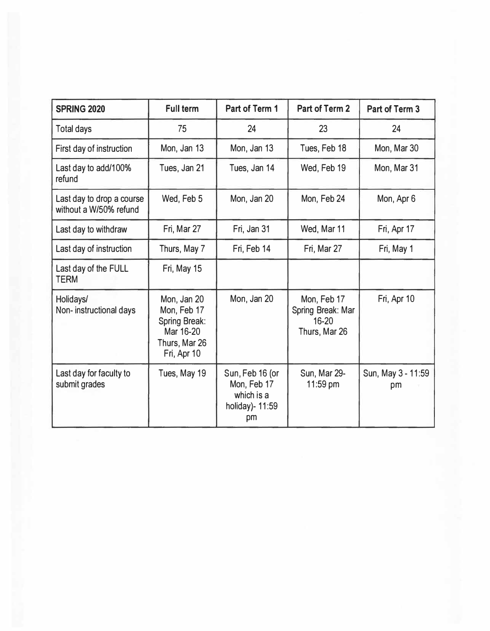| <b>SPRING 2020</b>                                  | <b>Full term</b>                                                                                | Part of Term 1                                                        | <b>Part of Term 2</b>                                      | Part of Term 3           |
|-----------------------------------------------------|-------------------------------------------------------------------------------------------------|-----------------------------------------------------------------------|------------------------------------------------------------|--------------------------|
| <b>Total days</b>                                   | 75                                                                                              | 24                                                                    | 23                                                         | 24                       |
| First day of instruction                            | Mon, Jan 13                                                                                     | Mon, Jan 13                                                           | Tues, Feb 18                                               | Mon, Mar 30              |
| Last day to add/100%<br>refund                      | Tues, Jan 21                                                                                    | Tues, Jan 14                                                          | Wed, Feb 19                                                | Mon, Mar 31              |
| Last day to drop a course<br>without a W/50% refund | Wed, Feb 5                                                                                      | Mon, Jan 20                                                           | Mon, Feb 24                                                | Mon, Apr 6               |
| Last day to withdraw                                | Fri, Mar 27                                                                                     | Fri, Jan 31                                                           | Wed, Mar 11                                                | Fri, Apr 17              |
| Last day of instruction                             | Thurs, May 7                                                                                    | Fri, Feb 14                                                           | Fri, Mar 27                                                | Fri, May 1               |
| Last day of the FULL<br><b>TERM</b>                 | Fri, May 15                                                                                     |                                                                       |                                                            |                          |
| Holidays/<br>Non-instructional days                 | Mon, Jan 20<br>Mon, Feb 17<br><b>Spring Break:</b><br>Mar 16-20<br>Thurs, Mar 26<br>Fri, Apr 10 | Mon, Jan 20                                                           | Mon, Feb 17<br>Spring Break: Mar<br>16-20<br>Thurs, Mar 26 | Fri, Apr 10              |
| Last day for faculty to<br>submit grades            | Tues, May 19                                                                                    | Sun, Feb 16 (or<br>Mon, Feb 17<br>which is a<br>holiday)- 11:59<br>pm | Sun, Mar 29-<br>11:59 pm                                   | Sun, May 3 - 11:59<br>pm |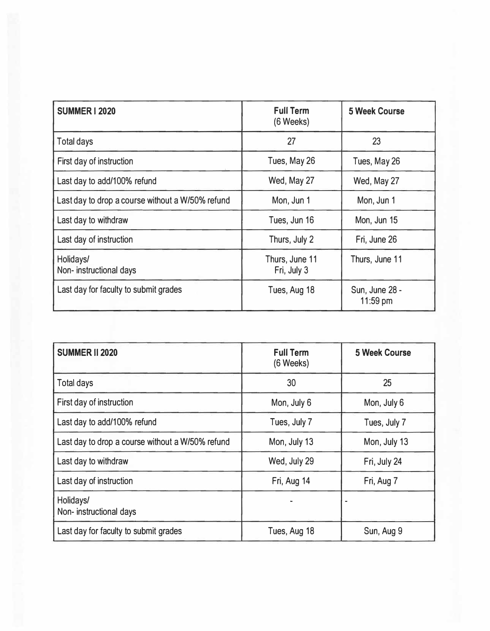| <b>SUMMER I 2020</b>                             | <b>Full Term</b><br>(6 Weeks) | <b>5 Week Course</b>       |
|--------------------------------------------------|-------------------------------|----------------------------|
| <b>Total days</b>                                | 27                            | 23                         |
| First day of instruction                         | Tues, May 26                  | Tues, May 26               |
| Last day to add/100% refund                      | Wed, May 27                   | Wed, May 27                |
| Last day to drop a course without a W/50% refund | Mon, Jun 1                    | Mon, Jun 1                 |
| Last day to withdraw                             | Tues, Jun 16                  | Mon, Jun 15                |
| Last day of instruction                          | Thurs, July 2                 | Fri, June 26               |
| Holidays/<br>Non-instructional days              | Thurs, June 11<br>Fri, July 3 | Thurs, June 11             |
| Last day for faculty to submit grades            | Tues, Aug 18                  | Sun, June 28 -<br>11:59 pm |

| <b>SUMMER II 2020</b>                            | <b>Full Term</b><br>(6 Weeks) | <b>5 Week Course</b> |
|--------------------------------------------------|-------------------------------|----------------------|
| <b>Total days</b>                                | 30                            | 25                   |
| First day of instruction                         | Mon, July 6                   | Mon, July 6          |
| Last day to add/100% refund                      | Tues, July 7                  | Tues, July 7         |
| Last day to drop a course without a W/50% refund | Mon, July 13                  | Mon, July 13         |
| Last day to withdraw                             | Wed, July 29                  | Fri, July 24         |
| Last day of instruction                          | Fri, Aug 14                   | Fri, Aug 7           |
| Holidays/<br>Non-instructional days              |                               |                      |
| Last day for faculty to submit grades            | Tues, Aug 18                  | Sun, Aug 9           |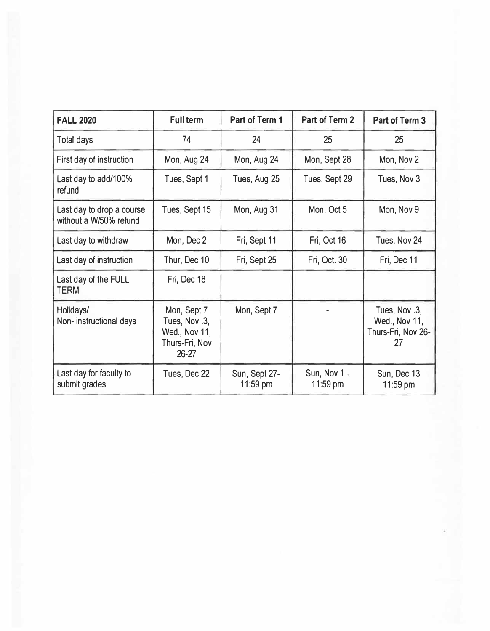| <b>FALL 2020</b>                                    | <b>Full term</b>                                                            | Part of Term 1            | Part of Term 2               | Part of Term 3                                             |
|-----------------------------------------------------|-----------------------------------------------------------------------------|---------------------------|------------------------------|------------------------------------------------------------|
| <b>Total days</b>                                   | 74                                                                          | 24                        | 25                           | 25                                                         |
| First day of instruction                            | Mon, Aug 24                                                                 | Mon, Aug 24               | Mon, Sept 28                 | Mon, Nov 2                                                 |
| Last day to add/100%<br>refund                      | Tues, Sept 1                                                                | Tues, Aug 25              | Tues, Sept 29                | Tues, Nov 3                                                |
| Last day to drop a course<br>without a W/50% refund | Tues, Sept 15                                                               | Mon, Aug 31               | Mon, Oct 5                   | Mon, Nov 9                                                 |
| Last day to withdraw                                | Mon, Dec 2                                                                  | Fri, Sept 11              | Fri, Oct 16                  | Tues, Nov 24                                               |
| Last day of instruction                             | Thur, Dec 10                                                                | Fri, Sept 25              | Fri, Oct. 30                 | Fri, Dec 11                                                |
| Last day of the FULL<br><b>TERM</b>                 | Fri, Dec 18                                                                 |                           |                              |                                                            |
| Holidays/<br>Non-instructional days                 | Mon, Sept 7<br>Tues, Nov.3,<br>Wed., Nov 11,<br>Thurs-Fri, Nov<br>$26 - 27$ | Mon, Sept 7               |                              | Tues, Nov .3,<br>Wed., Nov 11,<br>Thurs-Fri, Nov 26-<br>27 |
| Last day for faculty to<br>submit grades            | Tues, Dec 22                                                                | Sun, Sept 27-<br>11:59 pm | Sun, Nov 1 $\pm$<br>11:59 pm | Sun, Dec 13<br>11:59 pm                                    |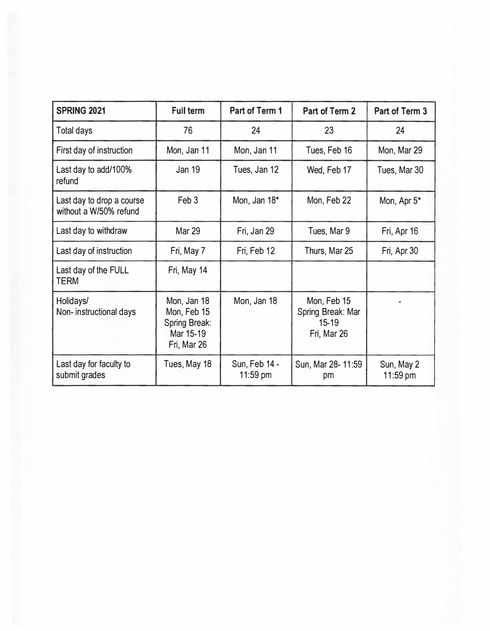| <b>SPRING 2021</b>                                  | <b>Full term</b>                                                               | Part of Term 1            | Part of Term 2                                             | Part of Term 3         |
|-----------------------------------------------------|--------------------------------------------------------------------------------|---------------------------|------------------------------------------------------------|------------------------|
| <b>Total days</b>                                   | 76                                                                             | 24                        | 23                                                         | 24                     |
| First day of instruction                            | Mon, Jan 11                                                                    | Mon, Jan 11               | Tues, Feb 16                                               | Mon, Mar 29            |
| Last day to add/100%<br>refund                      | <b>Jan 19</b>                                                                  | Tues, Jan 12              | Wed, Feb 17                                                | Tues, Mar 30           |
| Last day to drop a course<br>without a W/50% refund | Feb <sub>3</sub>                                                               | Mon, Jan 18*              | Mon, Feb 22                                                | Mon, Apr 5*            |
| Last day to withdraw                                | <b>Mar 29</b>                                                                  | Fri, Jan 29               | Tues, Mar 9                                                | Fri, Apr 16            |
| Last day of instruction                             | Fri, May 7                                                                     | Fri, Feb 12               | Thurs, Mar 25                                              | Fri, Apr 30            |
| Last day of the FULL<br><b>TERM</b>                 | Fri, May 14                                                                    |                           |                                                            |                        |
| Holidays/<br>Non-instructional days                 | Mon, Jan 18<br>Mon, Feb 15<br><b>Spring Break:</b><br>Mar 15-19<br>Fri, Mar 26 | Mon, Jan 18               | Mon, Feb 15<br>Spring Break: Mar<br>$15-19$<br>Fri, Mar 26 |                        |
| Last day for faculty to<br>submit grades            | Tues, May 18                                                                   | Sun, Feb 14 -<br>11:59 pm | Sun, Mar 28-11:59<br>pm                                    | Sun, May 2<br>11:59 pm |